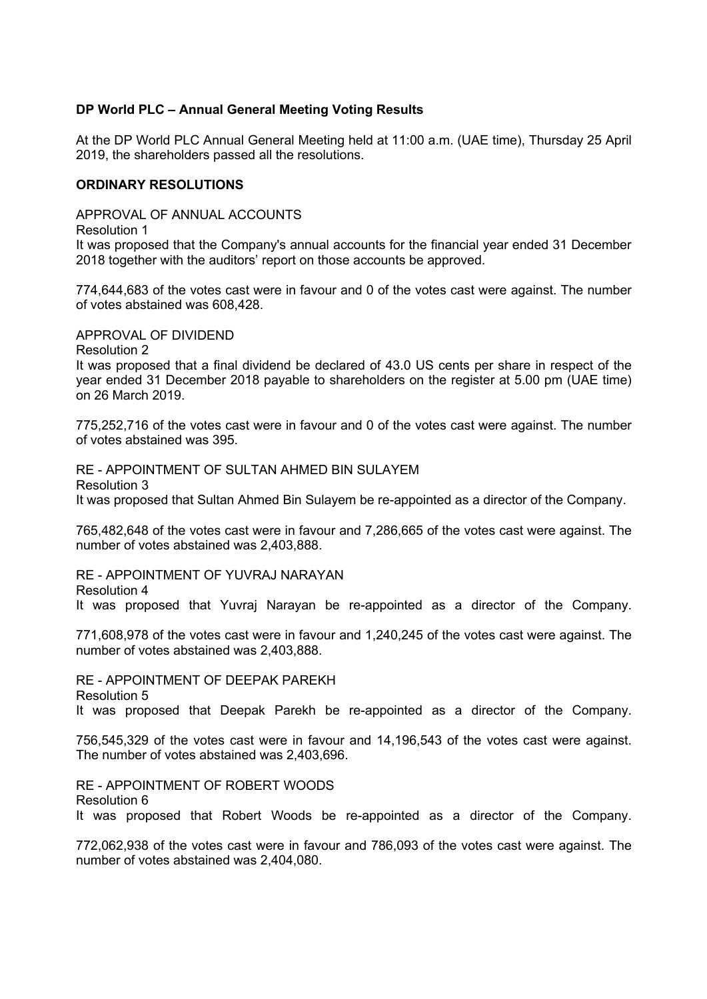## **DP World PLC – Annual General Meeting Voting Results**

At the DP World PLC Annual General Meeting held at 11:00 a.m. (UAE time), Thursday 25 April 2019, the shareholders passed all the resolutions.

## **ORDINARY RESOLUTIONS**

APPROVAL OF ANNUAL ACCOUNTS

Resolution 1

It was proposed that the Company's annual accounts for the financial year ended 31 December 2018 together with the auditors' report on those accounts be approved.

774,644,683 of the votes cast were in favour and 0 of the votes cast were against. The number of votes abstained was 608,428.

APPROVAL OF DIVIDEND

Resolution 2

It was proposed that a final dividend be declared of 43.0 US cents per share in respect of the year ended 31 December 2018 payable to shareholders on the register at 5.00 pm (UAE time) on 26 March 2019.

775,252,716 of the votes cast were in favour and 0 of the votes cast were against. The number of votes abstained was 395.

RE - APPOINTMENT OF SULTAN AHMED BIN SULAYEM Resolution 3 It was proposed that Sultan Ahmed Bin Sulayem be re-appointed as a director of the Company.

765,482,648 of the votes cast were in favour and 7,286,665 of the votes cast were against. The number of votes abstained was 2,403,888.

RE - APPOINTMENT OF YUVRAJ NARAYAN Resolution 4

It was proposed that Yuvraj Narayan be re-appointed as a director of the Company.

771,608,978 of the votes cast were in favour and 1,240,245 of the votes cast were against. The number of votes abstained was 2,403,888.

RE - APPOINTMENT OF DEEPAK PAREKH Resolution 5 It was proposed that Deepak Parekh be re-appointed as a director of the Company.

756,545,329 of the votes cast were in favour and 14,196,543 of the votes cast were against. The number of votes abstained was 2,403,696.

RE - APPOINTMENT OF ROBERT WOODS Resolution 6 It was proposed that Robert Woods be re-appointed as a director of the Company.

772,062,938 of the votes cast were in favour and 786,093 of the votes cast were against. The number of votes abstained was 2,404,080.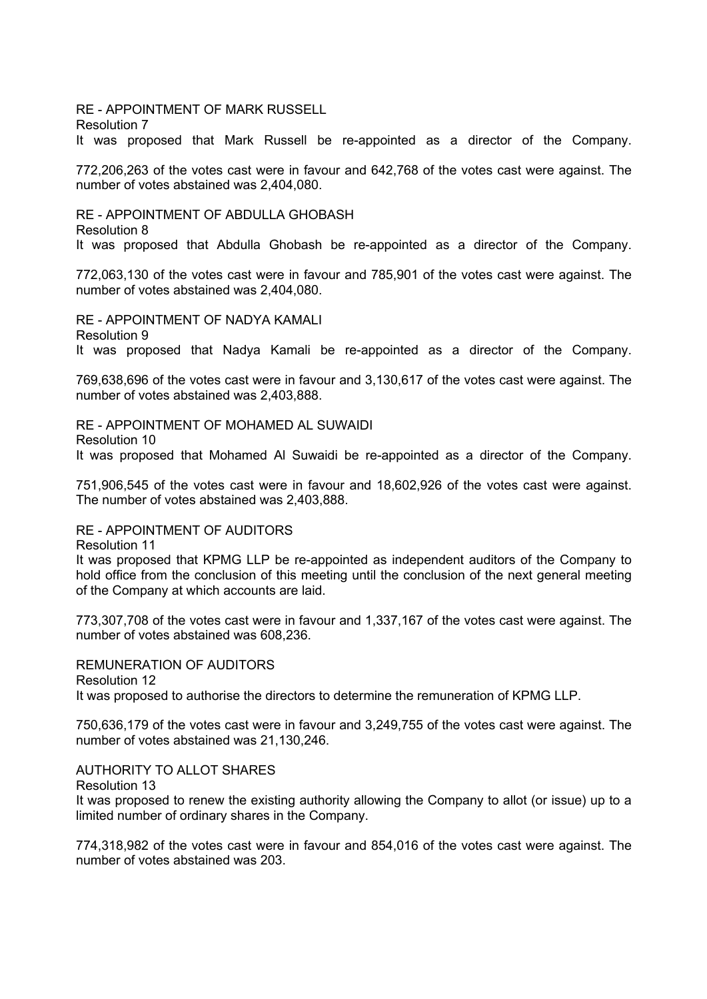RE - APPOINTMENT OF MARK RUSSELL Resolution 7 It was proposed that Mark Russell be re-appointed as a director of the Company.

772,206,263 of the votes cast were in favour and 642,768 of the votes cast were against. The number of votes abstained was 2,404,080.

RE - APPOINTMENT OF ABDULLA GHOBASH Resolution 8 It was proposed that Abdulla Ghobash be re-appointed as a director of the Company.

772,063,130 of the votes cast were in favour and 785,901 of the votes cast were against. The number of votes abstained was 2,404,080.

RE - APPOINTMENT OF NADYA KAMALI Resolution 9 It was proposed that Nadya Kamali be re-appointed as a director of the Company.

769,638,696 of the votes cast were in favour and 3,130,617 of the votes cast were against. The number of votes abstained was 2,403,888.

RE - APPOINTMENT OF MOHAMED AL SUWAIDI Resolution 10 It was proposed that Mohamed Al Suwaidi be re-appointed as a director of the Company.

751,906,545 of the votes cast were in favour and 18,602,926 of the votes cast were against. The number of votes abstained was 2,403,888.

RE - APPOINTMENT OF AUDITORS

Resolution 11

It was proposed that KPMG LLP be re-appointed as independent auditors of the Company to hold office from the conclusion of this meeting until the conclusion of the next general meeting of the Company at which accounts are laid.

773,307,708 of the votes cast were in favour and 1,337,167 of the votes cast were against. The number of votes abstained was 608,236.

REMUNERATION OF AUDITORS

Resolution 12

It was proposed to authorise the directors to determine the remuneration of KPMG LLP.

750,636,179 of the votes cast were in favour and 3,249,755 of the votes cast were against. The number of votes abstained was 21,130,246.

AUTHORITY TO ALLOT SHARES

Resolution 13

It was proposed to renew the existing authority allowing the Company to allot (or issue) up to a limited number of ordinary shares in the Company.

774,318,982 of the votes cast were in favour and 854,016 of the votes cast were against. The number of votes abstained was 203.